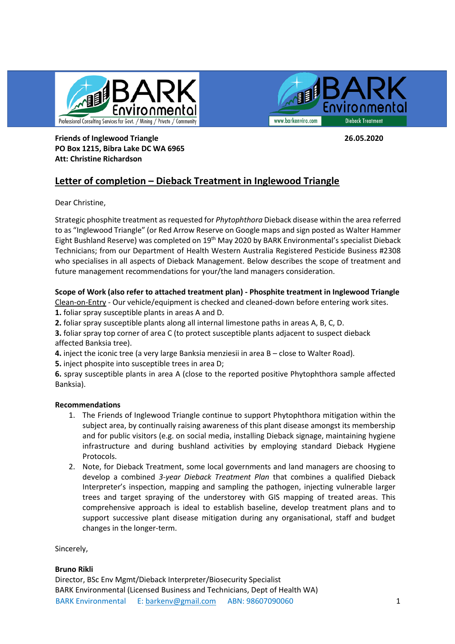



**Friends of Inglewood Triangle 26.05.2020 PO Box 1215, Bibra Lake DC WA 6965 Att: Christine Richardson**

# **Letter of completion – Dieback Treatment in Inglewood Triangle**

Dear Christine,

Strategic phosphite treatment as requested for *Phytophthora* Dieback disease within the area referred to as "Inglewood Triangle" (or Red Arrow Reserve on Google maps and sign posted as Walter Hammer Eight Bushland Reserve) was completed on 19th May 2020 by BARK Environmental's specialist Dieback Technicians; from our Department of Health Western Australia Registered Pesticide Business #2308 who specialises in all aspects of Dieback Management. Below describes the scope of treatment and future management recommendations for your/the land managers consideration.

## **Scope of Work (also refer to attached treatment plan) - Phosphite treatment in Inglewood Triangle**

Clean-on-Entry - Our vehicle/equipment is checked and cleaned-down before entering work sites.

**1.** foliar spray susceptible plants in areas A and D.

**2.** foliar spray susceptible plants along all internal limestone paths in areas A, B, C, D.

**3.** foliar spray top corner of area C (to protect susceptible plants adjacent to suspect dieback affected Banksia tree).

**4.** inject the iconic tree (a very large Banksia menziesii in area B – close to Walter Road).

**5.** inject phospite into susceptible trees in area D;

**6.** spray susceptible plants in area A (close to the reported positive Phytophthora sample affected Banksia).

### **Recommendations**

- 1. The Friends of Inglewood Triangle continue to support Phytophthora mitigation within the subject area, by continually raising awareness of this plant disease amongst its membership and for public visitors (e.g. on social media, installing Dieback signage, maintaining hygiene infrastructure and during bushland activities by employing standard Dieback Hygiene Protocols.
- 2. Note, for Dieback Treatment, some local governments and land managers are choosing to develop a combined *3-year Dieback Treatment Plan* that combines a qualified Dieback Interpreter's inspection, mapping and sampling the pathogen, injecting vulnerable larger trees and target spraying of the understorey with GIS mapping of treated areas. This comprehensive approach is ideal to establish baseline, develop treatment plans and to support successive plant disease mitigation during any organisational, staff and budget changes in the longer-term.

Sincerely,

### **Bruno Rikli**

BARK Environmental E: [barkenv@gmail.com](mailto:barkenv@gmail.com) ABN: 98607090060 1 Director, BSc Env Mgmt/Dieback Interpreter/Biosecurity Specialist BARK Environmental (Licensed Business and Technicians, Dept of Health WA)